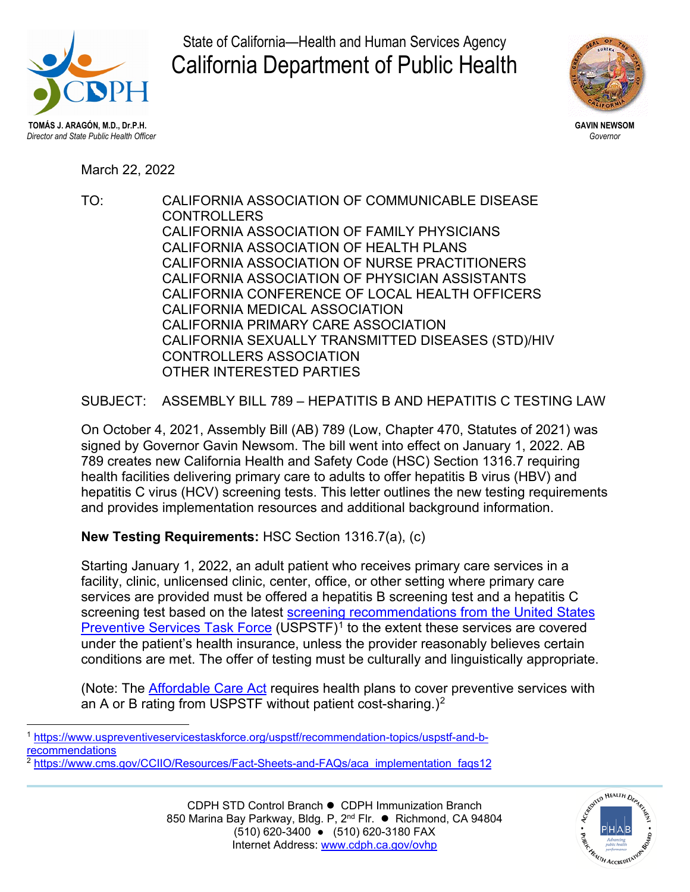

State of California—Health and Human Services Agency California Department of Public Health



**GAVIN NEWSOM** *Governor*

March 22, 2022

TO: CALIFORNIA ASSOCIATION OF COMMUNICABLE DISEASE **CONTROLLERS** CALIFORNIA ASSOCIATION OF FAMILY PHYSICIANS CALIFORNIA ASSOCIATION OF HEALTH PLANS CALIFORNIA ASSOCIATION OF NURSE PRACTITIONERS CALIFORNIA ASSOCIATION OF PHYSICIAN ASSISTANTS CALIFORNIA CONFERENCE OF LOCAL HEALTH OFFICERS CALIFORNIA MEDICAL ASSOCIATION CALIFORNIA PRIMARY CARE ASSOCIATION CALIFORNIA SEXUALLY TRANSMITTED DISEASES (STD)/HIV CONTROLLERS ASSOCIATION OTHER INTERESTED PARTIES

SUBJECT: ASSEMBLY BILL 789 – HEPATITIS B AND HEPATITIS C TESTING LAW

On October 4, 2021, Assembly Bill (AB) 789 (Low, Chapter 470, Statutes of 2021) was signed by Governor Gavin Newsom. The bill went into effect on January 1, 2022. AB 789 creates new California Health and Safety Code (HSC) Section 1316.7 requiring health facilities delivering primary care to adults to offer hepatitis B virus (HBV) and hepatitis C virus (HCV) screening tests. This letter outlines the new testing requirements and provides implementation resources and additional background information.

**New Testing Requirements:** HSC Section 1316.7(a), (c)

Starting January 1, 2022, an adult patient who receives primary care services in a facility, clinic, unlicensed clinic, center, office, or other setting where primary care services are provided must be offered a hepatitis B screening test and a hepatitis C screening test based on the latest screening recommendations from the United States [Preventive Services Task Force](https://www.uspreventiveservicestaskforce.org/uspstf/recommendation-topics/uspstf-and-b-recommendations) (USPSTF)<sup>[1](#page-0-0)</sup> to the extent these services are covered under the patient's health insurance, unless the provider reasonably believes certain conditions are met. The offer of testing must be culturally and linguistically appropriate.

(Note: The [Affordable Care Act](https://www.cms.gov/CCIIO/Resources/Fact-Sheets-and-FAQs/aca_implementation_faqs12) requires health plans to cover preventive services with an A or B rating from USPSTF without patient cost-sharing.)<sup>[2](#page-0-1)</sup>



<span id="page-0-0"></span><sup>1</sup> [https://www.uspreventiveservicestaskforce.org/uspstf/recommendation-topics/uspstf-and-b](https://www.uspreventiveservicestaskforce.org/uspstf/recommendation-topics/uspstf-and-b-recommendations)[recommendations](https://www.uspreventiveservicestaskforce.org/uspstf/recommendation-topics/uspstf-and-b-recommendations)

<span id="page-0-1"></span><sup>&</sup>lt;sup>2</sup> [https://www.cms.gov/CCIIO/Resources/Fact-Sheets-and-FAQs/aca\\_implementation\\_faqs12](https://www.cms.gov/CCIIO/Resources/Fact-Sheets-and-FAQs/aca_implementation_faqs12)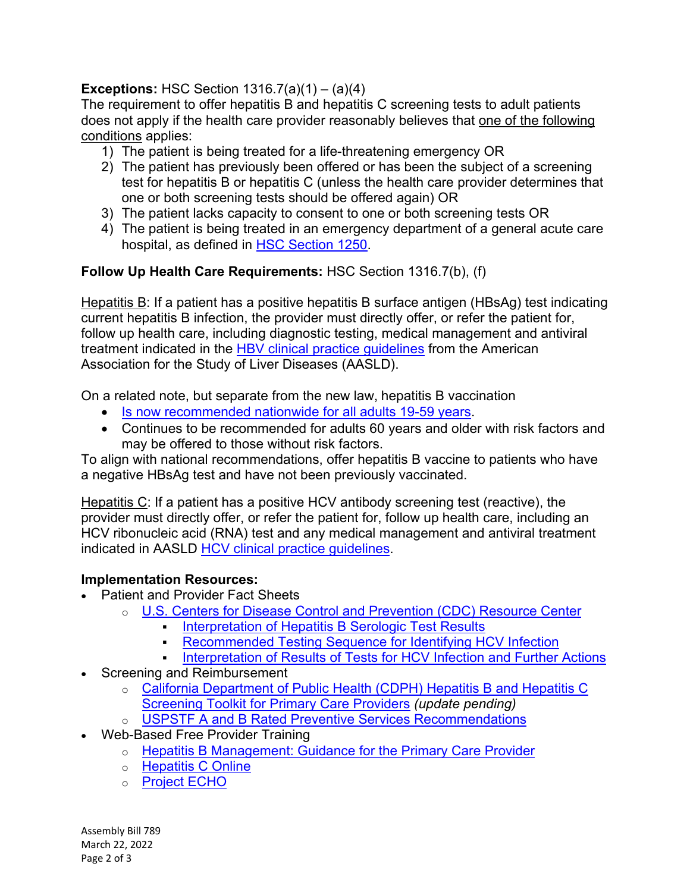## **Exceptions:** HSC Section 1316.7(a)(1) – (a)(4)

The requirement to offer hepatitis B and hepatitis C screening tests to adult patients does not apply if the health care provider reasonably believes that one of the following conditions applies:

- 1) The patient is being treated for a life-threatening emergency OR
- 2) The patient has previously been offered or has been the subject of a screening test for hepatitis B or hepatitis C (unless the health care provider determines that one or both screening tests should be offered again) OR
- 3) The patient lacks capacity to consent to one or both screening tests OR
- 4) The patient is being treated in an emergency department of a general acute care hospital, as defined in [HSC Section 1250.](https://leginfo.legislature.ca.gov/faces/codes_displaySection.xhtml?sectionNum=1250&lawCode=HSC)

## **Follow Up Health Care Requirements:** HSC Section 1316.7(b), (f)

Hepatitis B: If a patient has a positive hepatitis B surface antigen (HBsAg) test indicating current hepatitis B infection, the provider must directly offer, or refer the patient for, follow up health care, including diagnostic testing, medical management and antiviral treatment indicated in the HBV [clinical practice guidelines](https://www.aasld.org/sites/default/files/2019-06/HBVGuidance_Terrault_et_al-2018-Hepatology.pdf) from the American Association for the Study of Liver Diseases (AASLD).

On a related note, but separate from the new law, hepatitis B vaccination

- [Is now recommended nationwide for all adults 19-59 years.](https://www.cdc.gov/vaccines/schedules/hcp/imz/adult.html#note-hepb)
- Continues to be recommended for adults 60 years and older with risk factors and may be offered to those without risk factors.

To align with national recommendations, offer hepatitis B vaccine to patients who have a negative HBsAg test and have not been previously vaccinated.

Hepatitis C: If a patient has a positive HCV antibody screening test (reactive), the provider must directly offer, or refer the patient for, follow up health care, including an HCV ribonucleic acid (RNA) test and any medical management and antiviral treatment indicated in AASLD [HCV clinical practice guidelines.](https://www.hcvguidelines.org/)

## **Implementation Resources:**

- Patient and Provider Fact Sheets
	- o [U.S. Centers for Disease Control and Prevention \(CDC\) Resource Center](https://www.cdc.gov/hepatitis/resources/index.htm)
		- [Interpretation of Hepatitis B Serologic Test Results](https://www.cdc.gov/hepatitis/hbv/pdfs/SerologicChartv8.pdf)
		- [Recommended Testing Sequence for Identifying HCV Infection](https://www.cdc.gov/hepatitis/hcv/pdfs/hcv_flow.pdf)
		- [Interpretation of Results of Tests for HCV](https://www.cdc.gov/hepatitis/hcv/HCVTestResults-InterpretationAndActions.htm) Infection and Further Actions
- Screening and Reimbursement
	- o [California Department of Public Health \(CDPH\) Hepatitis B and Hepatitis C](https://www.cdph.ca.gov/Programs/CID/DCDC/CDPH%20Document%20Library/HepatitisBandCScreeningToolkitforPrimaryCare.pdf)  [Screening Toolkit for Primary Care Providers](https://www.cdph.ca.gov/Programs/CID/DCDC/CDPH%20Document%20Library/HepatitisBandCScreeningToolkitforPrimaryCare.pdf) *(update pending)*
	- o [USPSTF A and B Rated Preventive Services Recommendations](https://www.uspreventiveservicestaskforce.org/uspstf/recommendation-topics/uspstf-and-b-recommendations)
- Web-Based Free Provider Training
	- o [Hepatitis B Management: Guidance for the Primary Care Provider](https://www.hepatitisb.uw.edu/page/primary-care-workgroup/guidance)
	- o [Hepatitis C Online](https://www.hepatitisc.uw.edu/)
	- o [Project ECHO](https://hsc.unm.edu/echo/embedded-content/locations-us.html)

Assembly Bill 789 March 22, 2022 Page 2 of 3